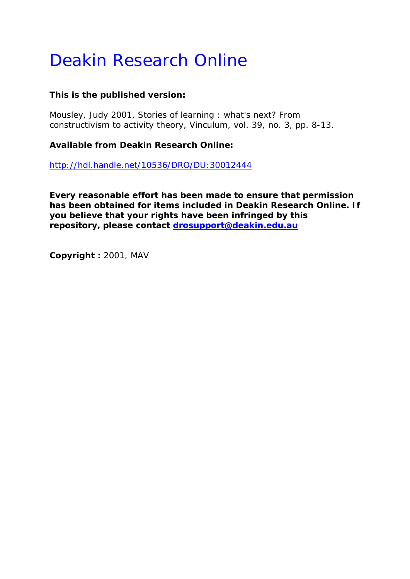## Deakin Research Online

## **This is the published version:**

Mousley, Judy 2001, Stories of learning : what's next? From constructivism to activity theory*, Vinculum*, vol. 39, no. 3, pp. 8-13.

### **Available from Deakin Research Online:**

http://hdl.handle.net/10536/DRO/DU:30012444

**Every reasonable effort has been made to ensure that permission has been obtained for items included in Deakin Research Online. If you believe that your rights have been infringed by this repository, please contact drosupport@deakin.edu.au** 

**Copyright :** 2001, MAV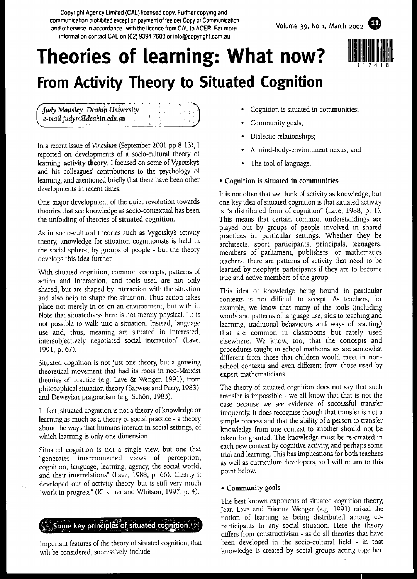Copyright Agency Limited (CAL) licensed copy. Further copying and communication prohibited except on payment offee per Copy or Communicalion and otherwise in accordance with the licence from CAL to ACER. For more information contact CAL on (02) 9394 7600 orinfo@copyrigh1.com.au

# **Theories of learning: What now? From Activity Theory to Situated Cognition**

117418

| Judy Mousley Deakin University |  |  |  |
|--------------------------------|--|--|--|
| e-mail judym@deakin.edu.au     |  |  |  |

In a recent issue of Vinculum (September 2001 pp 8-13), I reported on developments of a socio-cultural theory of learning: activity theory. I focused on some of Vygotskys and his colleagues' contributions to the psychology of learning, and mentioned briefly that there have been other developments in recent times.

One major development of the quiet revolution towards theories that see knowledge as socio-contextual has been the unfolding of theories of situated cognition.

As in socio-cultural theories such as Vygotsky's activity theory, knowledge for situation cognitionists is held in the social sphere, by groups of people - but the theory develops this idea further.

With situated cognition, common concepts, patterns of action and interaction, and tools used are not only shared, but are shaped by interaction with the situation and also help to shape the situation. Thus action takes place not merely in or on an environment, but with it. Note that situatedness here is not merely physical. "It is not possible to walk into a situation. Instead, language use and, thus, meaning are situated in interested, intersubjectively negotiated social interaction" (Lave, 1991,p.67).

Situated cognition is not just one theory, but a growing theoretical movement that had its roots in neo-Marxist theories of practice (e.g. Lave &: Wenger, 1991), from philosophical situation theory (Barwiseand Perry, 1983), and Deweyian pragmatism (e.g. Schön, 1983).

In fact, situated cognition is not a theory of knowledge or learning as much as a theory of social practice - a theory about the ways that humans interact in social settings, of which learning is only one dimension.

Situated cognition is not a single view, but one that "generates interconnected views of perception, cognition, language, learning. agency, the social world, and their interrelations" (Lave, 1988, p. 66). Clearly it developed out of activity theory, but is still very much "work in progress" (Kirshner and Whitson, 1997, p. 4).

## Some key principles of situated cognition

Important features of the theory of situated cognition, that will be considered, successively, include:

• Cognition is situated in communities;

Volume 39, No 1, March 2002

- Community goals;
- Dialectic relationships;
- A mind-body-environment nexus; and
- The tool of language.

#### • Cognition is situated in communities

It is not often that we think of activity as knowledge, but one key idea of situated cognition is that situated activity is "a distributed form of cognition" (Lave, 1988, p. 1). This means that certain common understandings are played out by groups of people involved in shared practices in particular settings. Whether they be architects, sport participants, principals, teenagers, members of parliament, publishers, or mathematics teachers, there are patterns of activity that need to be learned by neophyte participants if they are to become true and active members of the group.

This idea of knowledge being bound in particular contexts is not difficult to accept. As teachers, for example, we know that many of the tools (including words and patterns of language use, aids to teaching and learning, traditional behaviours and ways of reacting) that are common in classrooms but rarely used elsewhere. We know, too, that the concepts and procedures taught in school mathematics are somewhat different from those that children would meet in nonschool contexts and even different from those used' by expert mathematicians.

The theory of situated cognition does not say that such transfer is impossible - we all know that that is not the case because we see evidence of successful transfer frequently It does recognise though that transfer is not a simple process and that the ability of a person to transfer knowledge from one context to another should not be taken for granted. The knowledge must be re-created in each new context by cognitive activity, and perhaps some trial and learning. This has implications for both teachers as well as curriculum developers, so I will return to this point below.

#### • Community goals

The best known exponents of situated cognition theory, Jean Lave and Etienne Wenger (e.g. 1991) raised the notion of learning as being distributed among eoparticipants in any social situation. Here the theory differs from constructivism - as do all theories that have been developed in the socio-cultural field - in that knowledge is created by social groups acting together.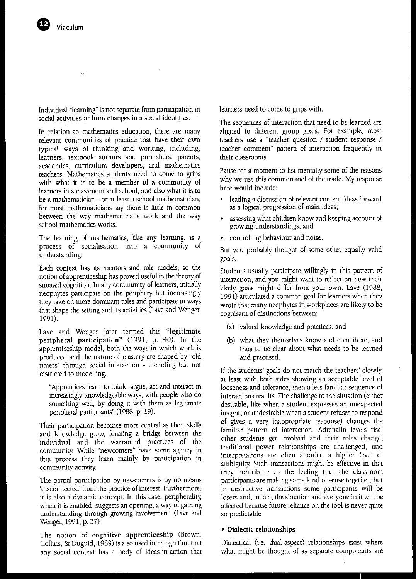

 $\mathcal{N}_\mathbf{z}$ 

Individual "learning" is not separate from participation in social activities or from changes in a social identities.

In relation to mathematics education, there are many relevant communities of practice that have their own typical ways of thinking and working, including, learners, textbook authors and publishers, parents, academics, curriculum developers, and mathematics teachers. Mathematics students need to come to grips with what it is to be a member of a community of learners in a classroom and school, and also what it is to be a mathematician - or at least a school mathematician, for most mathematicians say there is little in common between the way mathematicians work and the way school mathematics works.

The learning of mathematics, like any learning, is a process of socialisation into a community of understanding.

Each context has its mentors and role models, so the notion of apprenticeship has proved usefulin the theory of situated cognition. In any community of learners, initially neophytes participate on the periphery but increasingly they take on more dominant roles and participate in ways that shape the setting and its activities (Lave and Wenger, 1991).

Lave and Wenger later termed this "legitimate peripheral participation" (1991, p. 40). In the apprenticeship model, both the ways in which work is produced .and the nature of mastery are shaped by "old timers" through social interaction - including but not restricted to modelling.

"Apprentices learn to think, argue, act and interact in increasingly knowledgeable ways, with people who do something well, by doing it with them as legitimate peripheral participants" (1988, p. 19).

Their participation becomes more central as their skills and knowledge grow, forming a bridge between the individual and the warranted practices of the community While "newcomers" have some agency in this process they learn mainly by participation in community activity

The partial participation by newcomers is by no means 'disconnected' from the practice of interest. Furthermore, it is also a dynamic concept. In this case, peripherality, when it is enabled, suggests an opening, a way of gaining understanding through growing involvement. (Lave and Wenger, 1991, p. 37)

The notion of cognitive apprenticeship (Brown, Collins, &: Duguid, 1989) is also used in recognition that any social context has a body of ideas-in-action that learners need to come to grips with..

The sequences of interaction that need to be learned are aligned to different group goals. For example, most teachers use a "teacher question / student response / teacher comment" pattern of interaction frequently in their classrooms.

Pause for a moment to list mentally some of the reasons why we use this common tool of the trade. My response here would include:

- leading a discussion of relevant content ideas forward as a logical progression of main ideas;
- assessing what children know and keeping account of growing understandings; and
- controlling behaviour and noise.

But you probably thought of some other equally valid goals.

Students usually participate willingly in this pattern of interaction, and you might want to reflect on how their likely goals might differ from your own. Lave (1988, 199I) articulated a common goal for learners when they wrote that many neophytes in workplaces are likely to be cognisant of distinctions between:

- (a) valued knowledge and practices, and
- (b) what they themselves know and contribute, and thus to be clear about what needs to be learned and practised.

If the students' goals do not match the teachers' closely, at least with both sides showing an acceptable level of looseness and tolerance, then a less familiar sequence of interactions results. The challenge to the situation (either desirable, like when a student expresses an unexpected insight; or undesirable when a student refuses to respond of gives a very inappropriate response) changes the familiar pattern of interaction. Adrenalin levels rise, other students get involved and their roles change, traditional power relationships are challenged, and interpretations are often afforded a higher level of ambiguity Such transactions might be effective in that they contribute to the feeling that the classroom participants are making some kind of sense together; but in destructive transactions some participants will be losers-and, in fact, the situation and everyone in it will be affected because future reliance on the tool is never quite so predictable.

#### • Dialectic relationships

Dialectical (i.e. dual-aspect) relationships exist where what might be thought of as separate components are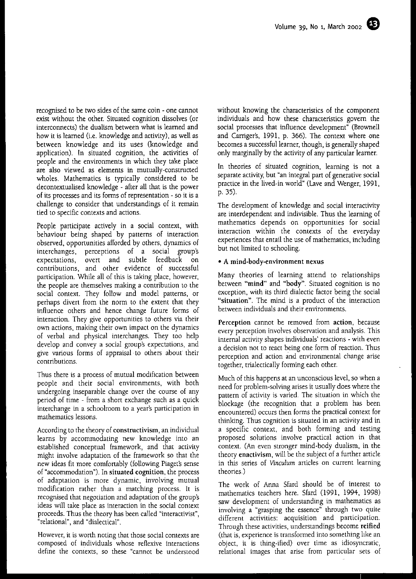

recognised to be two sides of the same coin - one cannot exist without the other. Situated cognition dissolves (or interconnects) the dualism between what is learned and how it is learned (i.e. knowledge and activity), as well as between knowledge and its uses (knowledge and application). In situated cognition, the activities of people and the environments in which they take place are also viewed as elements in mutually-constructed wholes. Mathematics is typically considered to be decontextualised knowledge - after all that is the power of its processes and its forms of representation - so it is a challenge to consider that understandings of it remain tied to specific contexts and actions.

People participate actively in a social context, with behaviour being shaped by patterns of interaction observed, opportunities afforded by others, dynamics of interchanges, perceptions of a social group's expectations, overt and subtle feedback on contributions, and other evidence of successful participation. While all of this is taking place, however, the people are themselves making a contribution to the social context. They follow and model patterns, or perhaps divert from the norm to the extent that they influence others and hence change future forms of interaction. They give opportunities to others via their own actions, making their own impact on the dynamics of verbal and physical interchanges. They too help develop and convey a social group's expectations, and give various forms of appraisal to others about their contributions.

Thus there is a process of mutual modification between people and their social environments, with both undergoing inseparable change over the course of any period of time - from a short exchange such as a quick interchange in a schoolroom to a year's participation in mathematics lessons.

According to the theory of constructivism, an individual learns by accommodating new knowledge into an established conceptual framework, and that activity might involve adaptation of the framework so that the new ideas fit more comfortably (following Piaget's sense of "accommodation"). In situated cognition, the process of adaptation is more dynamic, involving mutual modification rather than a matching process. It is recognised that negotiation and adaptation of the group's ideas will take place as interaction in the social context proceeds. Thus the theory has been called "interactivist", "relational", and "dialectical".

However, it is worth noting that those social contexts are composed of individuals whose reflexive interactions define the contexts, so these "cannot be understood

without knowing the characteristics of the component individuals and how these characteristics govern the social processes that influence development" (Brownell and Carriger's, 1991, p. 366). The context where one becomes a successful learner, though, is generally shaped only marginally by the activity of any particular learner.

In theories of situated cognition, learning is not a separate activity, but "an integral part of generative social practice in the lived-in world" (Lave and Wenger, 1991, p.35).

The development of knowledge and social interactivity are interdependent and indivisible. Thus the learning of mathematics depends on opportunities for social interaction within the contexts of the everyday experiences that entail the use of mathematics, including but not limited to schooling.

#### • A mind-body-environment nexus

Many theories of learning attend to relationships between "mind" and "body". Situated cognition is no exception, with its third dialectic factor being the social "situation". The mind is a product of the interaction between individuals and their environments.

Perception cannot be removed from action, because every perception involves observation and analysis. This internal activity shapes individuals' reactions - with even a decision not to react being one form of reaction. Thus perception and action and environmental change arise together, trialectically forming each other.

Much of this happens at an unconscious level, so when a need for problem-solving arises it usually does where the pattern of activity is varied. The situation in which the blockage (the recognition that a problem has been encountered) occurs then forms the practical context for thinking. Thus cognition is situated in an activity and in a specific context, and both forming and testing proposed solutions involve practical action in that context. (An even stronger mind-body dualism, in the theory enactivism, will be the subject of a further article in this series of *Vinculum* articles on current learning theories.)

The work of Anna Sfard should be of interest to mathematics teachers here. Sfard (1991, 1994, 1998) saw development of understanding in mathematics as involving a "grasping the essence" through two quite different activities: acquisition and participation. Through these activities, understandings become reified (that is, experience is transformed into something like an object, it is thing-ified) over time as idiosyncratic, relational images that arise from particular sets of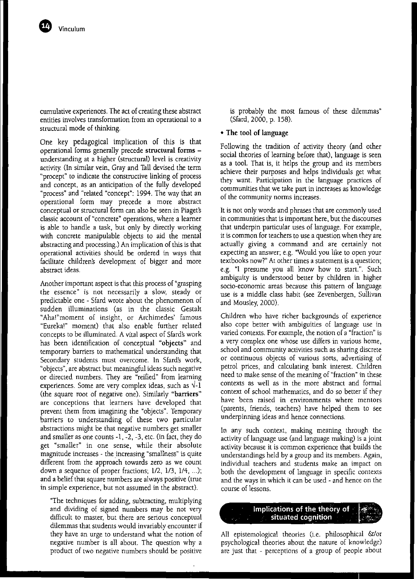cumulative experiences. The act of creating these abstract entities involves transformation from an operational to a structural mode of thinking.

One key pedagogical implication of this is that operational forms generally precede structural forms understanding at a higher (structural) level is creativity activity. (In similar vein, Gray and Tall devised the term "procept" to indicate the constructive linking of process and concept, as an anticipation of the fully developed "process" and "related "concept"; 1994. The way that an operational form may precede a more abstract conceptual or structural form can also be seen in Piagets classic account of "concrete" operations, where a learner is able to handle a task, but only by directly working with concrete manipulable objects to aid the mental abstracting and processing.) An implication of this is that operational activities should be ordered in ways that facilitate children's development of bigger and more abstract ideas.

Another important aspect is that this process of "grasping the essence" is not necessarily a slow, steady or predictable one - Sfard wrote about the phenomenon of sudden illuminations (as in the classic Gestalt "Aha!"moment of insight, or Archimedes' famous "Eureka!" moment) that also enable further related concepts to be illuminated. A vital aspect of Sfards work has been identification of conceptual "objects" and temporary barriers to mathematical understanding that Secondary students must overcome. In Sfard's work, "objects",are abstract but meaningful ideas such negative or directed numbers. They are "reihed" from learning experiences. Some are very complex ideas, such as  $\sqrt{1}$ (the square root of negative one). Similarly "barriers" are conceptions that learners have developed that prevent them from imagining the "objects". Temporary barriers to understanding of these two particular abstractions might be that negative numbers get smaller and smaller as one counts -1, -2, -3, etc. (in fact, they do get "smaller" in one sense, while their absolute magnitude increases - the increasing "smallness" is quite different from the approach towards zero as we count down a sequence of proper fractions; *112,* 1/3, 1/4, ...); and a belief that square numbers are always positive (true in simple experience, but not assumed in the abstract).

'The techniques for adding, subtracting, multiplying and dividing of signed numbers may be not very difficult to master, but there are serious conceptual dilemmas that students would invariably encounter if they have an urge to understand what the notion of negative number is all about. The question why a product of two negative numbers should be positive

is probably the most famous of these dilemmas" (Sfard, 2000, p. 158).

#### • The tool of language

Following the tradition of activity theory (and other social theories of learning before that), language is seen as a tool. That is, it helps the group and its members achieve their purposes and helps individuals get what they want. Participation in the language practices of communities that we take part in increases as knowledge of the community norms increases.

It is not only words and phrases that are commonly used in communities that is important here, but the discourses that underpin particular uses of language. For example, it is common for teachers to use a question when they are actually giving a command and are certainly not expecting an answer; e.g. "Would you like to open your textbooks now?" At other times a statement is a question; e.g. "I presume you all know how to start.". Such ambiguity is understood better by children in higher socio-economic areas because this pattern of language use is a middle class habit (see Zevenbergen, Sullivan and Mousley, 2000).

Children who have richer backgrounds of experience also cope better with ambiguities of language use in varied contexts. For example, the notion of a "fraction" is a very complex one whose use differs in various home, school and community activities such as sharing discrete or continuous objects of various sorts, advertising of petrol prices, and calculating bank interest. Children need to make sense of the meaning of "fraction" in these contexts as well as in the more abstract and formal context of school mathematics, and do so better if they have been raised in environments where mentors (parents, friends, teachers) have helped them to see underpinning ideas and hence connections.

In any such context, making meaning through the activity of language use (and language making) is a joint activity because it is common experience that builds the understandings held by a group and its members. Again, individual teachers and students make an impact on both the development of language in specific contexts and the ways in which it can be used - and hence on the course of lessons.



All epistemological theories (i.e. philosophical *&lor* psychological theories about the nature of knowledge) are just that - perceptions of a group of people about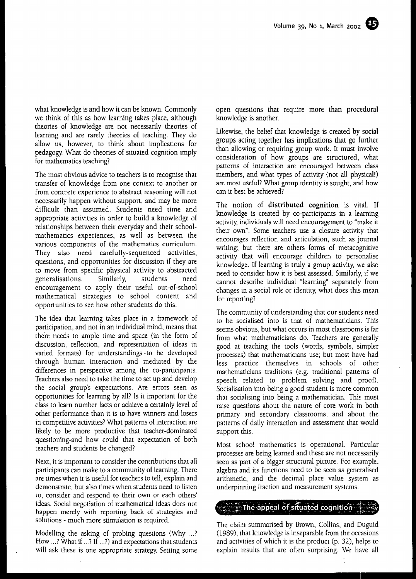what knowledge is and how it can be known. Commonly we think of this as how learning takes place, although theories of knowledge are not necessarily theories of learning and are rarely theories of teaching. They do allow us, however, to think about implications for pedagogy. What do theories of situated cognition imply for mathematics teaching?

The most obvious advice to teachers is to recognise that transfer of knowledge from one context to another or from concrete experience to abstract reasoning will not necessarily happen without support, and may be more difficult than assumed. Students need time and appropriate activities in order to build a knowledge of relationships between their everyday and their schoolmathematics experiences, as well as between the various components of the mathematics curriculum. They also need carefully-sequenced activities, questions, and opportunities for discussion if they are to move from specific physical activity to abstracted generalisations. Similarly, students need encouragement to apply their useful out-of-school mathematical strategies to school content and opportunities to see how other students do this.

The idea that learning takes place in a framework of participation, and not in an individual mind, means that there needs to ample time and space (in the form of discussion, reflection, and representation of ideas in varied formats) for understandings -to be developed through human interaction and mediated by the differences in perspective among the co-participants. Teachers also need to take the time to set up and develop the social group's expectations. Are errors seen as opportunities for learning by all? Is it important for the class to learn number facts or achieve a certainly level of other performance than it is to have winners and losers in competitive activities?What patterns of interaction are likely to be more productive that teacher-dominated questioning-and how could that expectation of both teachers and students be changed?

Next, it is important to consider the contributions that all participants can make to a community of learning. There are times when it is useful for teachers to tell, explain and demonstrate, but also times when students need to listen to, consider and respond to their own or each others' ideas. Social negotiation of mathematical ideas does not happen merely with reporting back of strategies and solutions - much more stimulation is required.

Modelling the asking of probing questions (Why ...? How ...?What if ...? If ...?) and expectations that students will ask these is one appropriate strategy. Setting some

open questions that require more than procedural knowledge is another.

Likewise, the belief that knowledge is created by social groups acting together has implications that go further than allowing or requiring group work. It must involve consideration of how groups are structured, what patterns of interaction are encouraged between class members, and what types of activity (not all physicall) are most useful? What group identity is sought, and how can it best be achieved?

The notion of distributed cognition is vital. If knowledge is created by eo-participants in a learning activity, individuals will need encouragement to "make it their own". Some teachers use a closure activity that encourages reflection and articulation, such as journal writing; but there are others forms of metacognitive activity that will encourage children to personalise knowledge. If learning is truly a group activity, we also need to consider how it is best assessed. Similarly, if we cannot describe individual "learning" separately from changes in a social role or identity, what does this mean for reporting?

The community of understanding that our students need to be socialised into is that of mathematicians. This seems obvious, but what occurs in most classrooms is far from what mathematicians do. Teachers are generally good at teaching the tools (words, symbols, simpler processes) that mathematicians use; but most have had less practice themselves in schools of other mathematicians traditions (e.g. traditional patterns of speech related to problem solving and proof), Socialisation into being a good student is more common that socialising into being a mathematician. This must raise questions about the nature of core work in both primary and secondary classrooms, and about the patterns of daily interaction and assessment that would support this.

Most school mathematics is operational. Particular processes are being learned and these are not necessarily seen as part of a bigger structural picture. For example, algebra and its functions need to be seen as generalised arithmetic, and the decimal place value system as underpinning fraction and measurement systems.

## $\mathbb{R}$  The appeal of situated cognition  $\mathbb{R}$

The claim summarised by Brown, Collins, and Duguid (1989), that knowledge is inseparable from the occasions and activities of which it is the product (p. 32), helps to explain results that are often surprising. We have all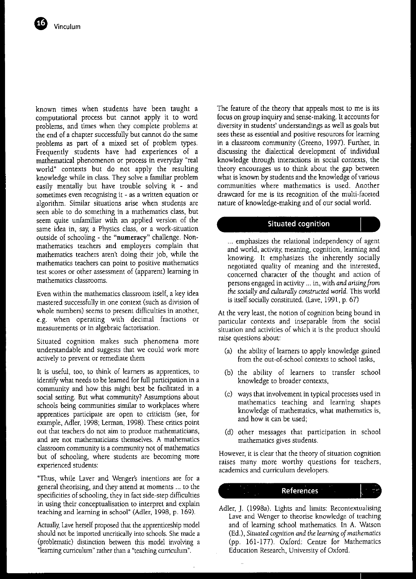known times when students have been taught a computational process but cannot apply it to word problems, and times when they complete problems at the end of a chapter successfully but cannot do the same problems as part of a mixed set of problem types. Frequently students have had experiences of a mathematical phenomenon or process in everyday "real world" contexts but do not apply the resulting knowledge while in class. They solve a familiar problem easily mentally but have trouble solving it - and sometimes even recognising it - as a written equation or algorithm. Similar situations arise when students are seen able to do something in a mathematics class, but seem quite unfamiliar with an applied version of the same idea in, say, a Physics class, or a work-situation outside of schooling - the "numeracy" challenge. Nonmathematics teachers and employers complain that mathematics teachers aren't doing their job, while the mathematics teachers can point to positive mathematics test scores or other assessment of (apparent) learning in mathematics classrooms.

Even within the mathematics classroom itself, a key idea mastered successfully in one context (such as division of whole numbers) seems to present difficulties in another, e.g. when operating with decimal fractions or measurements or in algebraic factorisation.

Situated cognition makes such phenomena more understandable and suggests that we could work more actively to prevent or remediate them

It is useful, too, to think of learners as apprentices, to identify what needs to be learned for full participation in a community and how this might best be facilitated in a social setting. But what community? Assumptions about schools being communities similar to workplaces where apprentices participate are open to criticism (see, for example, Adler, 1998; lerman, 1998). These critics point out that teachers do not aim to produce mathematicians, and are not mathematicians themselves. A mathematics classroom community is a community not of mathematics but of schooling, where students are becoming more experienced students:

"Thus, while laver and Wenger's intentions are for a general theorising, and they attend at moments ... to the specificities of schooling, they in fact side-step difficulties in using their conceptualisation to interpret and explain teaching and learning in school" (Adler, 1998, p. 169).

Actually, lave herself proposed that the apprenticeship model should not be imported uncritically into schools. She made a (problematic) distinction between this model involving a "learning curriculum" rather than a "teaching curriculum".

The feature of the theory that appeals most to me is its focus on group inquiry and sense-making. It accounts for diversity in students' understandings as well as goals but sees these as essential and positive resources for learning in a classroom community (Greeno, 1997). Further, in discussing the dialectical development of individual knowledge through interactions in social contexts, the theory encourages us to think about the gap between what is known by students and the knowledge of various communities where mathematics is used. Another drawcard for me is its recognition of the multi-faceted nature of knowledge-making and of our social world.

#### **Situated cognition I**

... emphasizes the relational independency of agent and world, activity, meaning, cognition, learning and knowing. It emphasizes the inherently socially negotiated quality of meaning and the interested, concerned character of the thought and action of persons engaged in activity ... in, with *and arisingfrom the socially and culturally constructed world.* This world is itself socially constituted. (Lave, 1991, p. 67)

At the very least, the notion of cognition being bound in particular contexts and inseparable from the social situation and activities of which it is the product should raise questions about:

- (a) the ability of learners to apply knowledge gained from the out-of-school contexts to school tasks,
- (b) the ability of learners to transfer school knowledge to broader contexts,
- (c) ways that involvement in typical processes used in mathematics teaching and learning shapes knowledge of mathematics, what mathematics is, and how it can be used;
- (d) other messages that participation in school mathematics gives students.

However, it is clear that the theory of situation cognition raises many more worthy questions for teachers, academics and curriculum developers.

**References** [. .,

Adler, J. (1998a). Lights and limits: Recontextualising lave and Wenger to theorise knowledge of teaching and of learning school mathematics. In A. Watson (Ed.), *Situated* cognition *and the learning ofmathematics* (pp. 161-177). Oxford: Centre for Mathematics Education Research, University of Oxford.